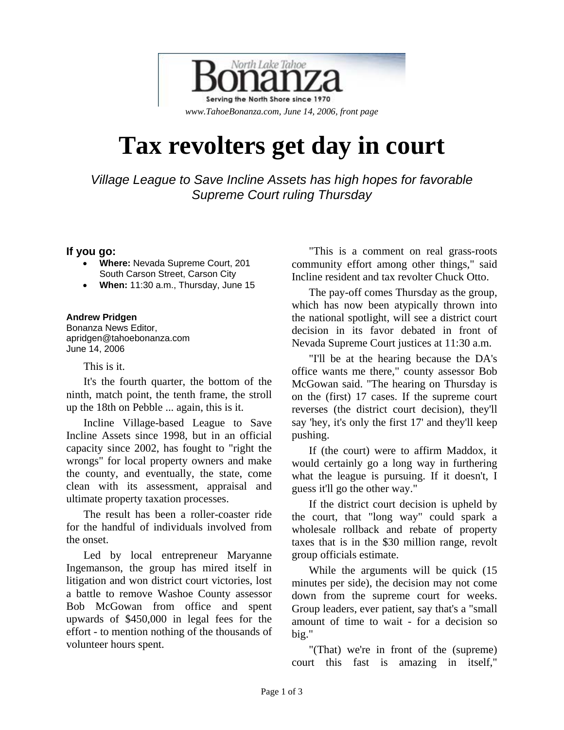

# **Tax revolters get day in court**

*Village League to Save Incline Assets has high hopes for favorable Supreme Court ruling Thursday* 

### **If you go:**

- **Where:** Nevada Supreme Court, 201 South Carson Street, Carson City
- **When:** 11:30 a.m., Thursday, June 15

#### **Andrew Pridgen**

Bonanza News Editor, apridgen@tahoebonanza.com June 14, 2006

#### This is it.

It's the fourth quarter, the bottom of the ninth, match point, the tenth frame, the stroll up the 18th on Pebble ... again, this is it.

Incline Village-based League to Save Incline Assets since 1998, but in an official capacity since 2002, has fought to "right the wrongs" for local property owners and make the county, and eventually, the state, come clean with its assessment, appraisal and ultimate property taxation processes.

The result has been a roller-coaster ride for the handful of individuals involved from the onset.

Led by local entrepreneur Maryanne Ingemanson, the group has mired itself in litigation and won district court victories, lost a battle to remove Washoe County assessor Bob McGowan from office and spent upwards of \$450,000 in legal fees for the effort - to mention nothing of the thousands of volunteer hours spent.

"This is a comment on real grass-roots community effort among other things," said Incline resident and tax revolter Chuck Otto.

The pay-off comes Thursday as the group, which has now been atypically thrown into the national spotlight, will see a district court decision in its favor debated in front of Nevada Supreme Court justices at 11:30 a.m.

"I'll be at the hearing because the DA's office wants me there," county assessor Bob McGowan said. "The hearing on Thursday is on the (first) 17 cases. If the supreme court reverses (the district court decision), they'll say 'hey, it's only the first 17' and they'll keep pushing.

If (the court) were to affirm Maddox, it would certainly go a long way in furthering what the league is pursuing. If it doesn't, I guess it'll go the other way."

If the district court decision is upheld by the court, that "long way" could spark a wholesale rollback and rebate of property taxes that is in the \$30 million range, revolt group officials estimate.

While the arguments will be quick  $(15)$ minutes per side), the decision may not come down from the supreme court for weeks. Group leaders, ever patient, say that's a "small amount of time to wait - for a decision so big."

"(That) we're in front of the (supreme) court this fast is amazing in itself,"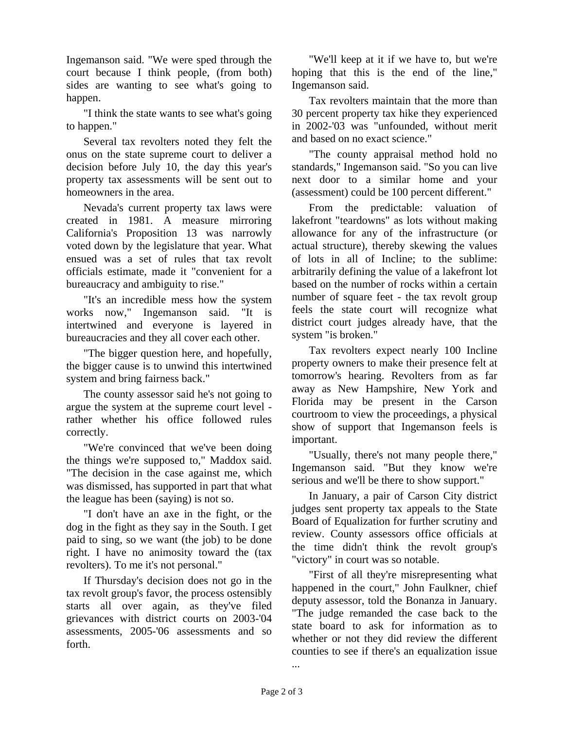Ingemanson said. "We were sped through the court because I think people, (from both) sides are wanting to see what's going to happen.

"I think the state wants to see what's going to happen."

Several tax revolters noted they felt the onus on the state supreme court to deliver a decision before July 10, the day this year's property tax assessments will be sent out to homeowners in the area.

Nevada's current property tax laws were created in 1981. A measure mirroring California's Proposition 13 was narrowly voted down by the legislature that year. What ensued was a set of rules that tax revolt officials estimate, made it "convenient for a bureaucracy and ambiguity to rise."

"It's an incredible mess how the system works now," Ingemanson said. "It is intertwined and everyone is layered in bureaucracies and they all cover each other.

"The bigger question here, and hopefully, the bigger cause is to unwind this intertwined system and bring fairness back."

The county assessor said he's not going to argue the system at the supreme court level rather whether his office followed rules correctly.

"We're convinced that we've been doing the things we're supposed to," Maddox said. "The decision in the case against me, which was dismissed, has supported in part that what the league has been (saying) is not so.

"I don't have an axe in the fight, or the dog in the fight as they say in the South. I get paid to sing, so we want (the job) to be done right. I have no animosity toward the (tax revolters). To me it's not personal."

If Thursday's decision does not go in the tax revolt group's favor, the process ostensibly starts all over again, as they've filed grievances with district courts on 2003-'04 assessments, 2005-'06 assessments and so forth.

"We'll keep at it if we have to, but we're hoping that this is the end of the line," Ingemanson said.

Tax revolters maintain that the more than 30 percent property tax hike they experienced in 2002-'03 was "unfounded, without merit and based on no exact science."

"The county appraisal method hold no standards," Ingemanson said. "So you can live next door to a similar home and your (assessment) could be 100 percent different."

From the predictable: valuation of lakefront "teardowns" as lots without making allowance for any of the infrastructure (or actual structure), thereby skewing the values of lots in all of Incline; to the sublime: arbitrarily defining the value of a lakefront lot based on the number of rocks within a certain number of square feet - the tax revolt group feels the state court will recognize what district court judges already have, that the system "is broken."

Tax revolters expect nearly 100 Incline property owners to make their presence felt at tomorrow's hearing. Revolters from as far away as New Hampshire, New York and Florida may be present in the Carson courtroom to view the proceedings, a physical show of support that Ingemanson feels is important.

"Usually, there's not many people there," Ingemanson said. "But they know we're serious and we'll be there to show support."

In January, a pair of Carson City district judges sent property tax appeals to the State Board of Equalization for further scrutiny and review. County assessors office officials at the time didn't think the revolt group's "victory" in court was so notable.

"First of all they're misrepresenting what happened in the court," John Faulkner, chief deputy assessor, told the Bonanza in January. "The judge remanded the case back to the state board to ask for information as to whether or not they did review the different counties to see if there's an equalization issue

...